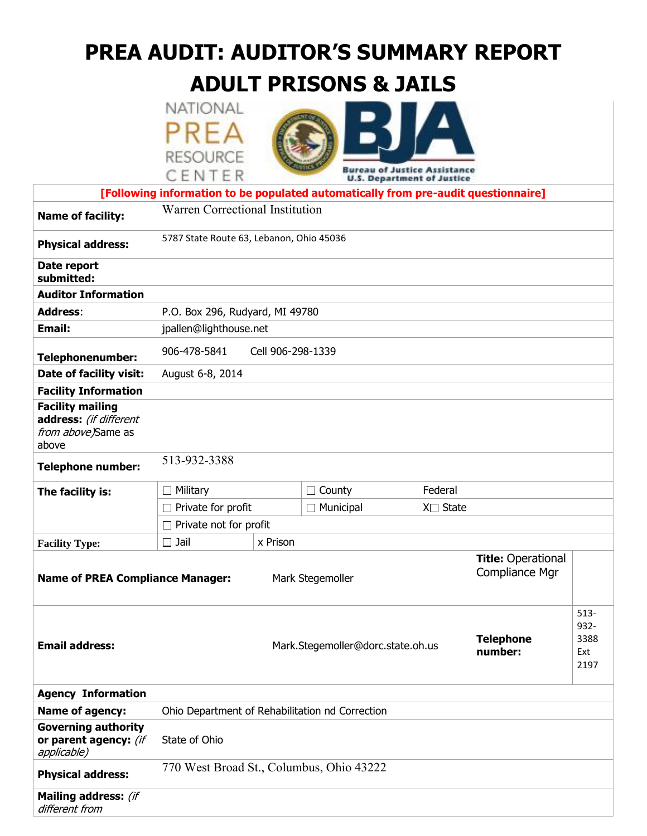# **PREA AUDIT: AUDITOR'S SUMMARY REPORT**

# **ADULT PRISONS & JAILS**

| NATIONAL        |  |
|-----------------|--|
|                 |  |
| <b>RESOURCE</b> |  |
| CENTER          |  |



|                                                                                  | CENTER                                                                             |                                   |                                       | <b>U.S. Department of Justice</b>           |                             |                                        |
|----------------------------------------------------------------------------------|------------------------------------------------------------------------------------|-----------------------------------|---------------------------------------|---------------------------------------------|-----------------------------|----------------------------------------|
|                                                                                  | [Following information to be populated automatically from pre-audit questionnaire] |                                   |                                       |                                             |                             |                                        |
| <b>Name of facility:</b>                                                         | Warren Correctional Institution                                                    |                                   |                                       |                                             |                             |                                        |
| <b>Physical address:</b>                                                         | 5787 State Route 63, Lebanon, Ohio 45036                                           |                                   |                                       |                                             |                             |                                        |
| Date report<br>submitted:                                                        |                                                                                    |                                   |                                       |                                             |                             |                                        |
| <b>Auditor Information</b>                                                       |                                                                                    |                                   |                                       |                                             |                             |                                        |
| <b>Address:</b>                                                                  | P.O. Box 296, Rudyard, MI 49780                                                    |                                   |                                       |                                             |                             |                                        |
| <b>Email:</b>                                                                    | jpallen@lighthouse.net                                                             |                                   |                                       |                                             |                             |                                        |
| <b>Telephonenumber:</b>                                                          | 906-478-5841<br>Cell 906-298-1339                                                  |                                   |                                       |                                             |                             |                                        |
| Date of facility visit:                                                          | August 6-8, 2014                                                                   |                                   |                                       |                                             |                             |                                        |
| <b>Facility Information</b>                                                      |                                                                                    |                                   |                                       |                                             |                             |                                        |
| <b>Facility mailing</b><br>address: (if different<br>from above)Same as<br>above |                                                                                    |                                   |                                       |                                             |                             |                                        |
| <b>Telephone number:</b>                                                         | 513-932-3388                                                                       |                                   |                                       |                                             |                             |                                        |
| The facility is:                                                                 | $\Box$ Military                                                                    |                                   | Federal<br>$\Box$ County              |                                             |                             |                                        |
|                                                                                  | Private for profit                                                                 |                                   | $\Box$ Municipal<br>$X \square$ State |                                             |                             |                                        |
|                                                                                  | $\Box$ Private not for profit                                                      |                                   |                                       |                                             |                             |                                        |
| <b>Facility Type:</b>                                                            | $\Box$ Jail                                                                        | x Prison                          |                                       |                                             |                             |                                        |
| <b>Name of PREA Compliance Manager:</b>                                          |                                                                                    | Mark Stegemoller                  |                                       | <b>Title: Operational</b><br>Compliance Mgr |                             |                                        |
| <b>Email address:</b>                                                            |                                                                                    | Mark.Stegemoller@dorc.state.oh.us |                                       |                                             | <b>Telephone</b><br>number: | $513 -$<br>932-<br>3388<br>Ext<br>2197 |
| <b>Agency Information</b>                                                        |                                                                                    |                                   |                                       |                                             |                             |                                        |
| Name of agency:                                                                  | Ohio Department of Rehabilitation nd Correction                                    |                                   |                                       |                                             |                             |                                        |
| <b>Governing authority</b><br>or parent agency: (if<br>applicable)               | State of Ohio                                                                      |                                   |                                       |                                             |                             |                                        |
| <b>Physical address:</b>                                                         | 770 West Broad St., Columbus, Ohio 43222                                           |                                   |                                       |                                             |                             |                                        |
| Mailing address: (if<br>different from                                           |                                                                                    |                                   |                                       |                                             |                             |                                        |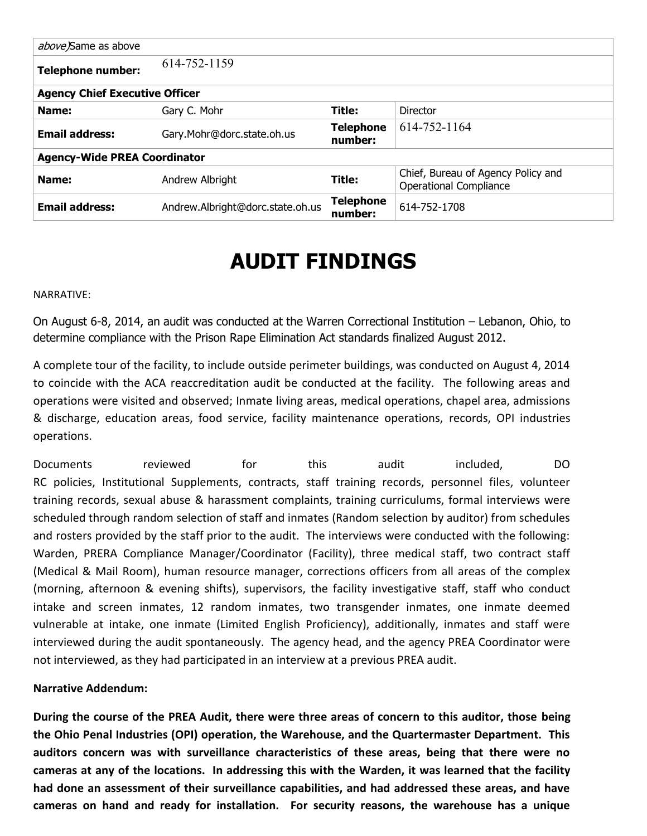| above)Same as above                   |                                  |                             |                                                                     |  |  |  |
|---------------------------------------|----------------------------------|-----------------------------|---------------------------------------------------------------------|--|--|--|
| <b>Telephone number:</b>              | 614-752-1159                     |                             |                                                                     |  |  |  |
| <b>Agency Chief Executive Officer</b> |                                  |                             |                                                                     |  |  |  |
| Name:                                 | Gary C. Mohr                     | Title:                      | Director                                                            |  |  |  |
| <b>Email address:</b>                 | Gary.Mohr@dorc.state.oh.us       | <b>Telephone</b><br>number: | 614-752-1164                                                        |  |  |  |
| <b>Agency-Wide PREA Coordinator</b>   |                                  |                             |                                                                     |  |  |  |
| Name:                                 | Andrew Albright                  | Title:                      | Chief, Bureau of Agency Policy and<br><b>Operational Compliance</b> |  |  |  |
| <b>Email address:</b>                 | Andrew.Albright@dorc.state.oh.us | <b>Telephone</b><br>number: | 614-752-1708                                                        |  |  |  |

# **AUDIT FINDINGS**

#### NARRATIVE:

On August 6-8, 2014, an audit was conducted at the Warren Correctional Institution – Lebanon, Ohio, to determine compliance with the Prison Rape Elimination Act standards finalized August 2012.

A complete tour of the facility, to include outside perimeter buildings, was conducted on August 4, 2014 to coincide with the ACA reaccreditation audit be conducted at the facility. The following areas and operations were visited and observed; Inmate living areas, medical operations, chapel area, admissions & discharge, education areas, food service, facility maintenance operations, records, OPI industries operations.

Documents reviewed for this audit included, DO RC policies, Institutional Supplements, contracts, staff training records, personnel files, volunteer training records, sexual abuse & harassment complaints, training curriculums, formal interviews were scheduled through random selection of staff and inmates (Random selection by auditor) from schedules and rosters provided by the staff prior to the audit. The interviews were conducted with the following: Warden, PRERA Compliance Manager/Coordinator (Facility), three medical staff, two contract staff (Medical & Mail Room), human resource manager, corrections officers from all areas of the complex (morning, afternoon & evening shifts), supervisors, the facility investigative staff, staff who conduct intake and screen inmates, 12 random inmates, two transgender inmates, one inmate deemed vulnerable at intake, one inmate (Limited English Proficiency), additionally, inmates and staff were interviewed during the audit spontaneously. The agency head, and the agency PREA Coordinator were not interviewed, as they had participated in an interview at a previous PREA audit.

#### **Narrative Addendum:**

**During the course of the PREA Audit, there were three areas of concern to this auditor, those being the Ohio Penal Industries (OPI) operation, the Warehouse, and the Quartermaster Department. This auditors concern was with surveillance characteristics of these areas, being that there were no cameras at any of the locations. In addressing this with the Warden, it was learned that the facility had done an assessment of their surveillance capabilities, and had addressed these areas, and have cameras on hand and ready for installation. For security reasons, the warehouse has a unique**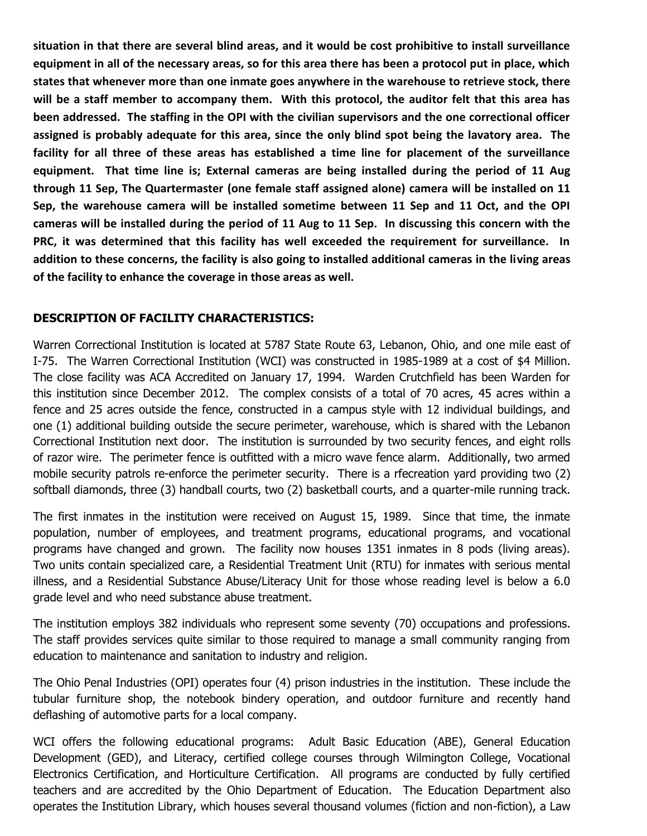**situation in that there are several blind areas, and it would be cost prohibitive to install surveillance equipment in all of the necessary areas, so for this area there has been a protocol put in place, which states that whenever more than one inmate goes anywhere in the warehouse to retrieve stock, there will be a staff member to accompany them. With this protocol, the auditor felt that this area has been addressed. The staffing in the OPI with the civilian supervisors and the one correctional officer assigned is probably adequate for this area, since the only blind spot being the lavatory area. The facility for all three of these areas has established a time line for placement of the surveillance equipment. That time line is; External cameras are being installed during the period of 11 Aug through 11 Sep, The Quartermaster (one female staff assigned alone) camera will be installed on 11 Sep, the warehouse camera will be installed sometime between 11 Sep and 11 Oct, and the OPI cameras will be installed during the period of 11 Aug to 11 Sep. In discussing this concern with the PRC, it was determined that this facility has well exceeded the requirement for surveillance. In addition to these concerns, the facility is also going to installed additional cameras in the living areas of the facility to enhance the coverage in those areas as well.**

#### **DESCRIPTION OF FACILITY CHARACTERISTICS:**

Warren Correctional Institution is located at 5787 State Route 63, Lebanon, Ohio, and one mile east of I-75. The Warren Correctional Institution (WCI) was constructed in 1985-1989 at a cost of \$4 Million. The close facility was ACA Accredited on January 17, 1994. Warden Crutchfield has been Warden for this institution since December 2012. The complex consists of a total of 70 acres, 45 acres within a fence and 25 acres outside the fence, constructed in a campus style with 12 individual buildings, and one (1) additional building outside the secure perimeter, warehouse, which is shared with the Lebanon Correctional Institution next door. The institution is surrounded by two security fences, and eight rolls of razor wire. The perimeter fence is outfitted with a micro wave fence alarm. Additionally, two armed mobile security patrols re-enforce the perimeter security. There is a rfecreation yard providing two (2) softball diamonds, three (3) handball courts, two (2) basketball courts, and a quarter-mile running track.

The first inmates in the institution were received on August 15, 1989. Since that time, the inmate population, number of employees, and treatment programs, educational programs, and vocational programs have changed and grown. The facility now houses 1351 inmates in 8 pods (living areas). Two units contain specialized care, a Residential Treatment Unit (RTU) for inmates with serious mental illness, and a Residential Substance Abuse/Literacy Unit for those whose reading level is below a 6.0 grade level and who need substance abuse treatment.

The institution employs 382 individuals who represent some seventy (70) occupations and professions. The staff provides services quite similar to those required to manage a small community ranging from education to maintenance and sanitation to industry and religion.

The Ohio Penal Industries (OPI) operates four (4) prison industries in the institution. These include the tubular furniture shop, the notebook bindery operation, and outdoor furniture and recently hand deflashing of automotive parts for a local company.

WCI offers the following educational programs: Adult Basic Education (ABE), General Education Development (GED), and Literacy, certified college courses through Wilmington College, Vocational Electronics Certification, and Horticulture Certification. All programs are conducted by fully certified teachers and are accredited by the Ohio Department of Education. The Education Department also operates the Institution Library, which houses several thousand volumes (fiction and non-fiction), a Law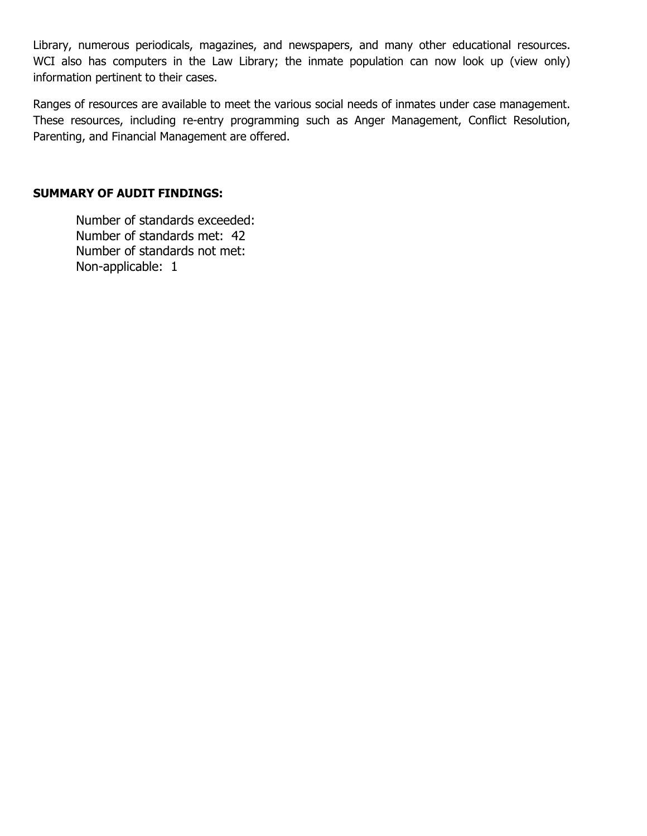Library, numerous periodicals, magazines, and newspapers, and many other educational resources. WCI also has computers in the Law Library; the inmate population can now look up (view only) information pertinent to their cases.

Ranges of resources are available to meet the various social needs of inmates under case management. These resources, including re-entry programming such as Anger Management, Conflict Resolution, Parenting, and Financial Management are offered.

#### **SUMMARY OF AUDIT FINDINGS:**

Number of standards exceeded: Number of standards met: 42 Number of standards not met: Non-applicable: 1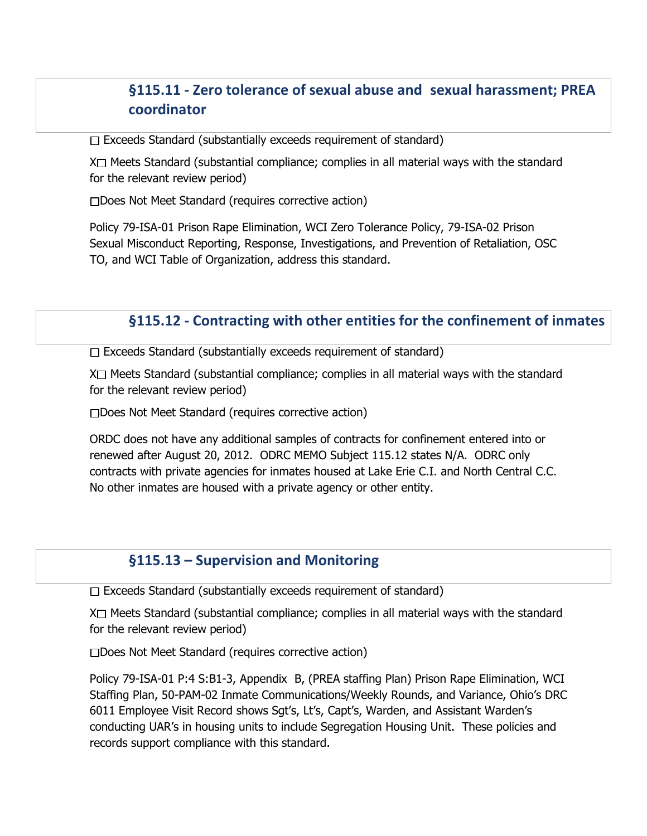# **§115.11 - Zero tolerance of sexual abuse and sexual harassment; PREA coordinator**

 $\Box$  Exceeds Standard (substantially exceeds requirement of standard)

 $X \square$  Meets Standard (substantial compliance; complies in all material ways with the standard for the relevant review period)

□Does Not Meet Standard (requires corrective action)

Policy 79-ISA-01 Prison Rape Elimination, WCI Zero Tolerance Policy, 79-ISA-02 Prison Sexual Misconduct Reporting, Response, Investigations, and Prevention of Retaliation, OSC TO, and WCI Table of Organization, address this standard.

## **§115.12 - Contracting with other entities for the confinement of inmates**

 $\Box$  Exceeds Standard (substantially exceeds requirement of standard)

 $X \square$  Meets Standard (substantial compliance; complies in all material ways with the standard for the relevant review period)

□Does Not Meet Standard (requires corrective action)

ORDC does not have any additional samples of contracts for confinement entered into or renewed after August 20, 2012. ODRC MEMO Subject 115.12 states N/A. ODRC only contracts with private agencies for inmates housed at Lake Erie C.I. and North Central C.C. No other inmates are housed with a private agency or other entity.

#### **§115.13 – Supervision and Monitoring**

 $\Box$  Exceeds Standard (substantially exceeds requirement of standard)

 $X \square$  Meets Standard (substantial compliance; complies in all material ways with the standard for the relevant review period)

□Does Not Meet Standard (requires corrective action)

Policy 79-ISA-01 P:4 S:B1-3, Appendix B, (PREA staffing Plan) Prison Rape Elimination, WCI Staffing Plan, 50-PAM-02 Inmate Communications/Weekly Rounds, and Variance, Ohio's DRC 6011 Employee Visit Record shows Sgt's, Lt's, Capt's, Warden, and Assistant Warden's conducting UAR's in housing units to include Segregation Housing Unit. These policies and records support compliance with this standard.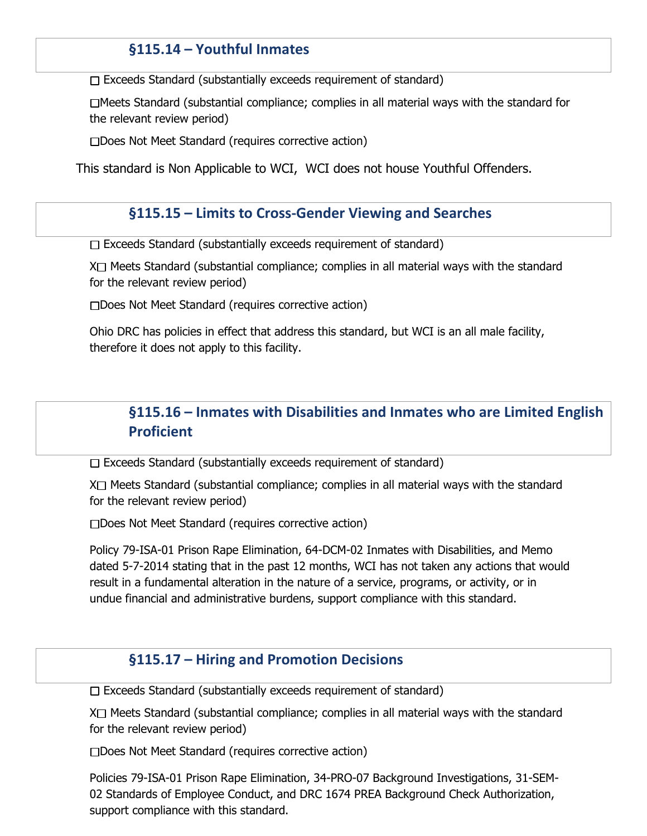# **§115.14 – Youthful Inmates**

 $\Box$  Exceeds Standard (substantially exceeds requirement of standard)

Meets Standard (substantial compliance; complies in all material ways with the standard for the relevant review period)

□Does Not Meet Standard (requires corrective action)

This standard is Non Applicable to WCI, WCI does not house Youthful Offenders.

#### **§115.15 – Limits to Cross-Gender Viewing and Searches**

 $\Box$  Exceeds Standard (substantially exceeds requirement of standard)

 $X \square$  Meets Standard (substantial compliance; complies in all material ways with the standard for the relevant review period)

Does Not Meet Standard (requires corrective action)

Ohio DRC has policies in effect that address this standard, but WCI is an all male facility, therefore it does not apply to this facility.

# **§115.16 – Inmates with Disabilities and Inmates who are Limited English Proficient**

 $\Box$  Exceeds Standard (substantially exceeds requirement of standard)

X<sup> $\Box$ </sup> Meets Standard (substantial compliance; complies in all material ways with the standard for the relevant review period)

□Does Not Meet Standard (requires corrective action)

Policy 79-ISA-01 Prison Rape Elimination, 64-DCM-02 Inmates with Disabilities, and Memo dated 5-7-2014 stating that in the past 12 months, WCI has not taken any actions that would result in a fundamental alteration in the nature of a service, programs, or activity, or in undue financial and administrative burdens, support compliance with this standard.

#### **§115.17 – Hiring and Promotion Decisions**

 $\Box$  Exceeds Standard (substantially exceeds requirement of standard)

 $X \square$  Meets Standard (substantial compliance; complies in all material ways with the standard for the relevant review period)

□Does Not Meet Standard (requires corrective action)

Policies 79-ISA-01 Prison Rape Elimination, 34-PRO-07 Background Investigations, 31-SEM-02 Standards of Employee Conduct, and DRC 1674 PREA Background Check Authorization, support compliance with this standard.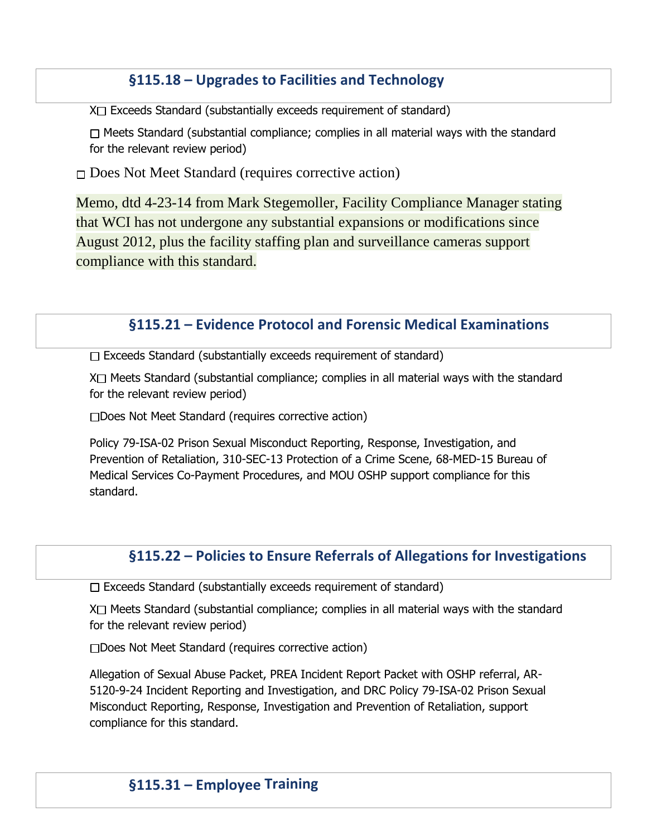# **§115.18 – Upgrades to Facilities and Technology**

 $X \square$  Exceeds Standard (substantially exceeds requirement of standard)

 $\Box$  Meets Standard (substantial compliance; complies in all material ways with the standard for the relevant review period)

□ Does Not Meet Standard (requires corrective action)

Memo, dtd 4-23-14 from Mark Stegemoller, Facility Compliance Manager stating that WCI has not undergone any substantial expansions or modifications since August 2012, plus the facility staffing plan and surveillance cameras support compliance with this standard.

## **§115.21 – Evidence Protocol and Forensic Medical Examinations**

 $\Box$  Exceeds Standard (substantially exceeds requirement of standard)

 $X \square$  Meets Standard (substantial compliance; complies in all material ways with the standard for the relevant review period)

Does Not Meet Standard (requires corrective action)

Policy 79-ISA-02 Prison Sexual Misconduct Reporting, Response, Investigation, and Prevention of Retaliation, 310-SEC-13 Protection of a Crime Scene, 68-MED-15 Bureau of Medical Services Co-Payment Procedures, and MOU OSHP support compliance for this standard.

# **§115.22 – Policies to Ensure Referrals of Allegations for Investigations**

 $\Box$  Exceeds Standard (substantially exceeds requirement of standard)

 $X \square$  Meets Standard (substantial compliance; complies in all material ways with the standard for the relevant review period)

Does Not Meet Standard (requires corrective action)

Allegation of Sexual Abuse Packet, PREA Incident Report Packet with OSHP referral, AR-5120-9-24 Incident Reporting and Investigation, and DRC Policy 79-ISA-02 Prison Sexual Misconduct Reporting, Response, Investigation and Prevention of Retaliation, support compliance for this standard.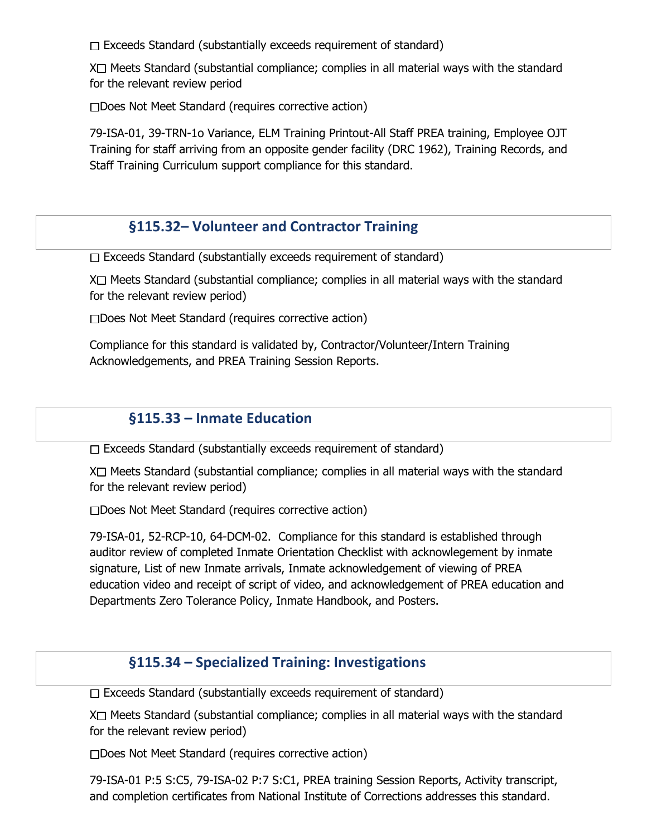$\Box$  Exceeds Standard (substantially exceeds requirement of standard)

 $X \square$  Meets Standard (substantial compliance; complies in all material ways with the standard for the relevant review period

Does Not Meet Standard (requires corrective action)

79-ISA-01, 39-TRN-1o Variance, ELM Training Printout-All Staff PREA training, Employee OJT Training for staff arriving from an opposite gender facility (DRC 1962), Training Records, and Staff Training Curriculum support compliance for this standard.

## **§115.32– Volunteer and Contractor Training**

 $\Box$  Exceeds Standard (substantially exceeds requirement of standard)

 $X \cap$  Meets Standard (substantial compliance; complies in all material ways with the standard for the relevant review period)

Does Not Meet Standard (requires corrective action)

Compliance for this standard is validated by, Contractor/Volunteer/Intern Training Acknowledgements, and PREA Training Session Reports.

## **§115.33 – Inmate Education**

 $\Box$  Exceeds Standard (substantially exceeds requirement of standard)

 $X \square$  Meets Standard (substantial compliance; complies in all material ways with the standard for the relevant review period)

Does Not Meet Standard (requires corrective action)

79-ISA-01, 52-RCP-10, 64-DCM-02. Compliance for this standard is established through auditor review of completed Inmate Orientation Checklist with acknowlegement by inmate signature, List of new Inmate arrivals, Inmate acknowledgement of viewing of PREA education video and receipt of script of video, and acknowledgement of PREA education and Departments Zero Tolerance Policy, Inmate Handbook, and Posters.

#### **§115.34 – Specialized Training: Investigations**

 $\Box$  Exceeds Standard (substantially exceeds requirement of standard)

 $X \square$  Meets Standard (substantial compliance; complies in all material ways with the standard for the relevant review period)

Does Not Meet Standard (requires corrective action)

79-ISA-01 P:5 S:C5, 79-ISA-02 P:7 S:C1, PREA training Session Reports, Activity transcript, and completion certificates from National Institute of Corrections addresses this standard.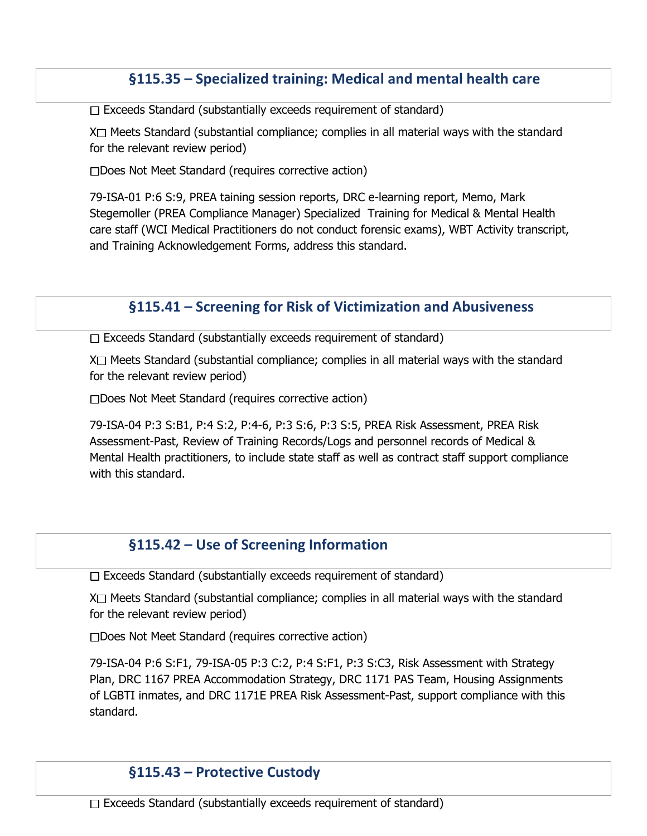## **§115.35 – Specialized training: Medical and mental health care**

 $\Box$  Exceeds Standard (substantially exceeds requirement of standard)

 $X \square$  Meets Standard (substantial compliance; complies in all material ways with the standard for the relevant review period)

□Does Not Meet Standard (requires corrective action)

79-ISA-01 P:6 S:9, PREA taining session reports, DRC e-learning report, Memo, Mark Stegemoller (PREA Compliance Manager) Specialized Training for Medical & Mental Health care staff (WCI Medical Practitioners do not conduct forensic exams), WBT Activity transcript, and Training Acknowledgement Forms, address this standard.

# **§115.41 – Screening for Risk of Victimization and Abusiveness**

 $\Box$  Exceeds Standard (substantially exceeds requirement of standard)

 $X \square$  Meets Standard (substantial compliance; complies in all material ways with the standard for the relevant review period)

□Does Not Meet Standard (requires corrective action)

79-ISA-04 P:3 S:B1, P:4 S:2, P:4-6, P:3 S:6, P:3 S:5, PREA Risk Assessment, PREA Risk Assessment-Past, Review of Training Records/Logs and personnel records of Medical & Mental Health practitioners, to include state staff as well as contract staff support compliance with this standard.

## **§115.42 – Use of Screening Information**

 $\Box$  Exceeds Standard (substantially exceeds requirement of standard)

 $X \square$  Meets Standard (substantial compliance; complies in all material ways with the standard for the relevant review period)

Does Not Meet Standard (requires corrective action)

79-ISA-04 P:6 S:F1, 79-ISA-05 P:3 C:2, P:4 S:F1, P:3 S:C3, Risk Assessment with Strategy Plan, DRC 1167 PREA Accommodation Strategy, DRC 1171 PAS Team, Housing Assignments of LGBTI inmates, and DRC 1171E PREA Risk Assessment-Past, support compliance with this standard.

## **§115.43 – Protective Custody**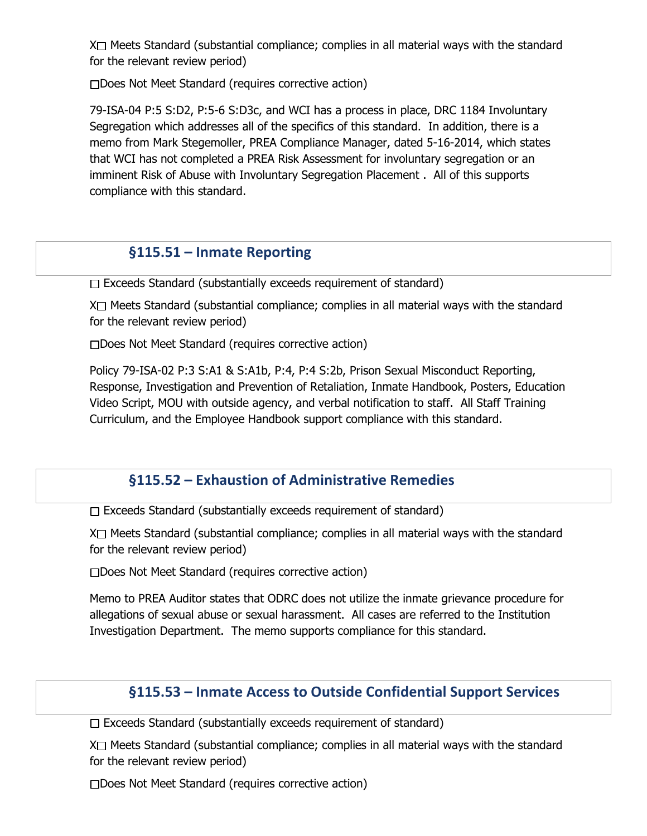$X \square$  Meets Standard (substantial compliance; complies in all material ways with the standard for the relevant review period)

Does Not Meet Standard (requires corrective action)

79-ISA-04 P:5 S:D2, P:5-6 S:D3c, and WCI has a process in place, DRC 1184 Involuntary Segregation which addresses all of the specifics of this standard. In addition, there is a memo from Mark Stegemoller, PREA Compliance Manager, dated 5-16-2014, which states that WCI has not completed a PREA Risk Assessment for involuntary segregation or an imminent Risk of Abuse with Involuntary Segregation Placement . All of this supports compliance with this standard.

## **§115.51 – Inmate Reporting**

 $\Box$  Exceeds Standard (substantially exceeds requirement of standard)

 $X \square$  Meets Standard (substantial compliance; complies in all material ways with the standard for the relevant review period)

□Does Not Meet Standard (requires corrective action)

Policy 79-ISA-02 P:3 S:A1 & S:A1b, P:4, P:4 S:2b, Prison Sexual Misconduct Reporting, Response, Investigation and Prevention of Retaliation, Inmate Handbook, Posters, Education Video Script, MOU with outside agency, and verbal notification to staff. All Staff Training Curriculum, and the Employee Handbook support compliance with this standard.

## **§115.52 – Exhaustion of Administrative Remedies**

 $\Box$  Exceeds Standard (substantially exceeds requirement of standard)

 $X \square$  Meets Standard (substantial compliance; complies in all material ways with the standard for the relevant review period)

Does Not Meet Standard (requires corrective action)

Memo to PREA Auditor states that ODRC does not utilize the inmate grievance procedure for allegations of sexual abuse or sexual harassment. All cases are referred to the Institution Investigation Department. The memo supports compliance for this standard.

## **§115.53 – Inmate Access to Outside Confidential Support Services**

 $\Box$  Exceeds Standard (substantially exceeds requirement of standard)

 $X \cap$  Meets Standard (substantial compliance; complies in all material ways with the standard for the relevant review period)

Does Not Meet Standard (requires corrective action)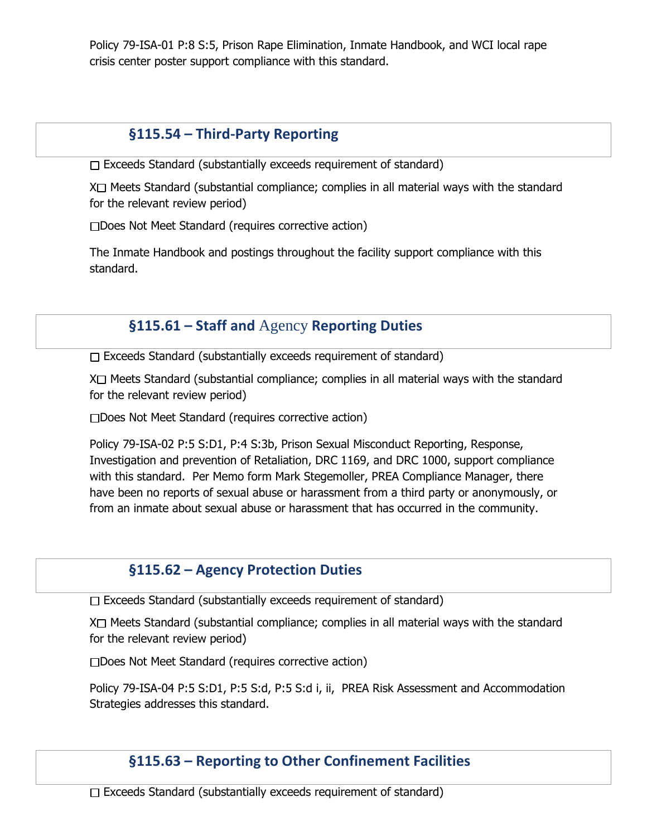Policy 79-ISA-01 P:8 S:5, Prison Rape Elimination, Inmate Handbook, and WCI local rape crisis center poster support compliance with this standard.

# **§115.54 – Third-Party Reporting**

 $\Box$  Exceeds Standard (substantially exceeds requirement of standard)

 $X \square$  Meets Standard (substantial compliance; complies in all material ways with the standard for the relevant review period)

□Does Not Meet Standard (requires corrective action)

The Inmate Handbook and postings throughout the facility support compliance with this standard.

# **§115.61 – Staff and** Agency **Reporting Duties**

 $\Box$  Exceeds Standard (substantially exceeds requirement of standard)

 $X \square$  Meets Standard (substantial compliance; complies in all material ways with the standard for the relevant review period)

Does Not Meet Standard (requires corrective action)

Policy 79-ISA-02 P:5 S:D1, P:4 S:3b, Prison Sexual Misconduct Reporting, Response, Investigation and prevention of Retaliation, DRC 1169, and DRC 1000, support compliance with this standard. Per Memo form Mark Stegemoller, PREA Compliance Manager, there have been no reports of sexual abuse or harassment from a third party or anonymously, or from an inmate about sexual abuse or harassment that has occurred in the community.

# **§115.62 – Agency Protection Duties**

 $\Box$  Exceeds Standard (substantially exceeds requirement of standard)

 $X \square$  Meets Standard (substantial compliance; complies in all material ways with the standard for the relevant review period)

□Does Not Meet Standard (requires corrective action)

Policy 79-ISA-04 P:5 S:D1, P:5 S:d, P:5 S:d i, ii, PREA Risk Assessment and Accommodation Strategies addresses this standard.

# **§115.63 – Reporting to Other Confinement Facilities**

 $\Box$  Exceeds Standard (substantially exceeds requirement of standard)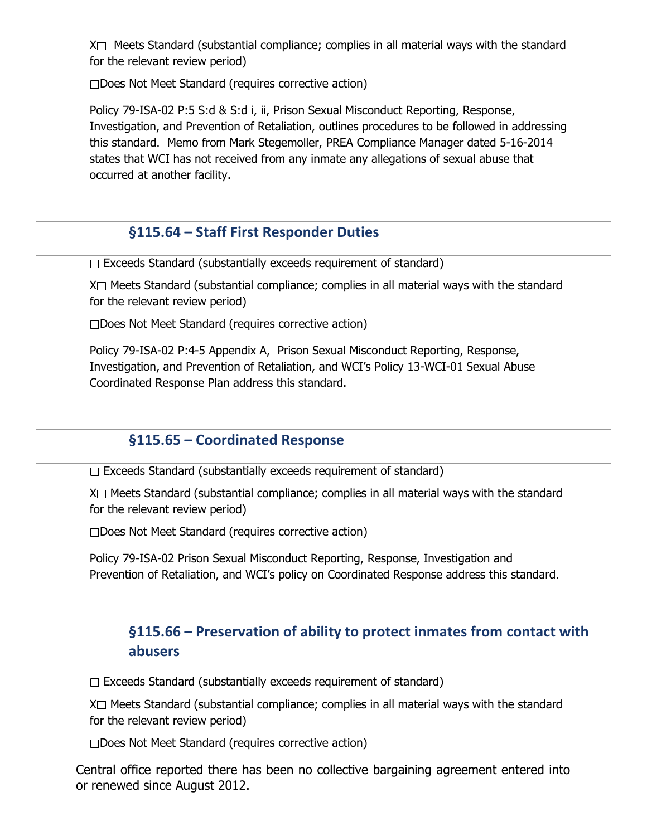$X \square$  Meets Standard (substantial compliance; complies in all material ways with the standard for the relevant review period)

□Does Not Meet Standard (requires corrective action)

Policy 79-ISA-02 P:5 S:d & S:d i, ii, Prison Sexual Misconduct Reporting, Response, Investigation, and Prevention of Retaliation, outlines procedures to be followed in addressing this standard. Memo from Mark Stegemoller, PREA Compliance Manager dated 5-16-2014 states that WCI has not received from any inmate any allegations of sexual abuse that occurred at another facility.

## **§115.64 – Staff First Responder Duties**

 $\Box$  Exceeds Standard (substantially exceeds requirement of standard)

 $X \square$  Meets Standard (substantial compliance; complies in all material ways with the standard for the relevant review period)

Does Not Meet Standard (requires corrective action)

Policy 79-ISA-02 P:4-5 Appendix A, Prison Sexual Misconduct Reporting, Response, Investigation, and Prevention of Retaliation, and WCI's Policy 13-WCI-01 Sexual Abuse Coordinated Response Plan address this standard.

# **§115.65 – Coordinated Response**

Exceeds Standard (substantially exceeds requirement of standard)

 $X \square$  Meets Standard (substantial compliance; complies in all material ways with the standard for the relevant review period)

□Does Not Meet Standard (requires corrective action)

Policy 79-ISA-02 Prison Sexual Misconduct Reporting, Response, Investigation and Prevention of Retaliation, and WCI's policy on Coordinated Response address this standard.

# **§115.66 – Preservation of ability to protect inmates from contact with abusers**

 $\Box$  Exceeds Standard (substantially exceeds requirement of standard)

 $X \square$  Meets Standard (substantial compliance; complies in all material ways with the standard for the relevant review period)

Does Not Meet Standard (requires corrective action)

Central office reported there has been no collective bargaining agreement entered into or renewed since August 2012.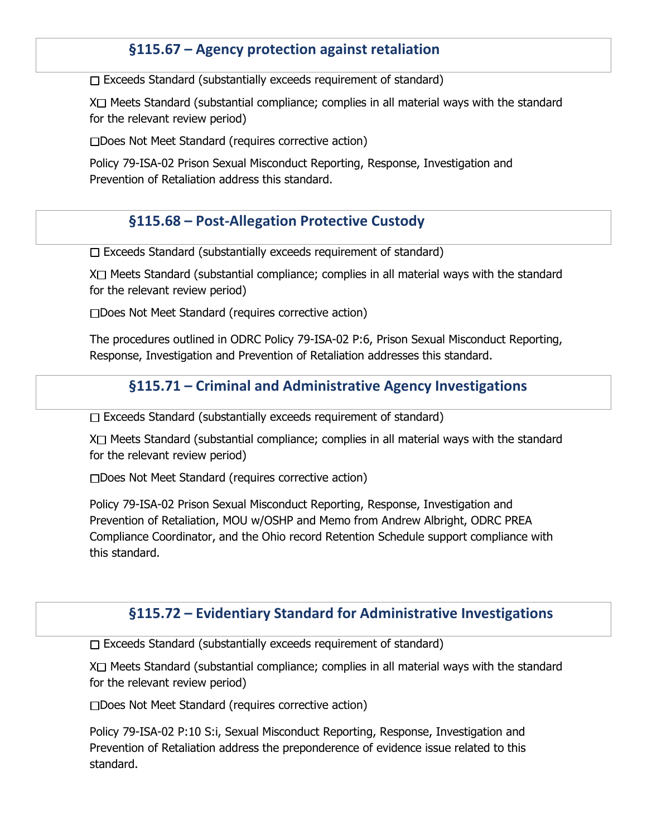# **§115.67 – Agency protection against retaliation**

 $\Box$  Exceeds Standard (substantially exceeds requirement of standard)

 $X \square$  Meets Standard (substantial compliance; complies in all material ways with the standard for the relevant review period)

□Does Not Meet Standard (requires corrective action)

Policy 79-ISA-02 Prison Sexual Misconduct Reporting, Response, Investigation and Prevention of Retaliation address this standard.

## **§115.68 – Post-Allegation Protective Custody**

 $\Box$  Exceeds Standard (substantially exceeds requirement of standard)

 $X \square$  Meets Standard (substantial compliance; complies in all material ways with the standard for the relevant review period)

□Does Not Meet Standard (requires corrective action)

The procedures outlined in ODRC Policy 79-ISA-02 P:6, Prison Sexual Misconduct Reporting, Response, Investigation and Prevention of Retaliation addresses this standard.

## **§115.71 – Criminal and Administrative Agency Investigations**

 $\Box$  Exceeds Standard (substantially exceeds requirement of standard)

 $X \square$  Meets Standard (substantial compliance; complies in all material ways with the standard for the relevant review period)

□Does Not Meet Standard (requires corrective action)

Policy 79-ISA-02 Prison Sexual Misconduct Reporting, Response, Investigation and Prevention of Retaliation, MOU w/OSHP and Memo from Andrew Albright, ODRC PREA Compliance Coordinator, and the Ohio record Retention Schedule support compliance with this standard.

#### **§115.72 – Evidentiary Standard for Administrative Investigations**

 $\Box$  Exceeds Standard (substantially exceeds requirement of standard)

 $X \square$  Meets Standard (substantial compliance; complies in all material ways with the standard for the relevant review period)

Does Not Meet Standard (requires corrective action)

Policy 79-ISA-02 P:10 S:i, Sexual Misconduct Reporting, Response, Investigation and Prevention of Retaliation address the preponderence of evidence issue related to this standard.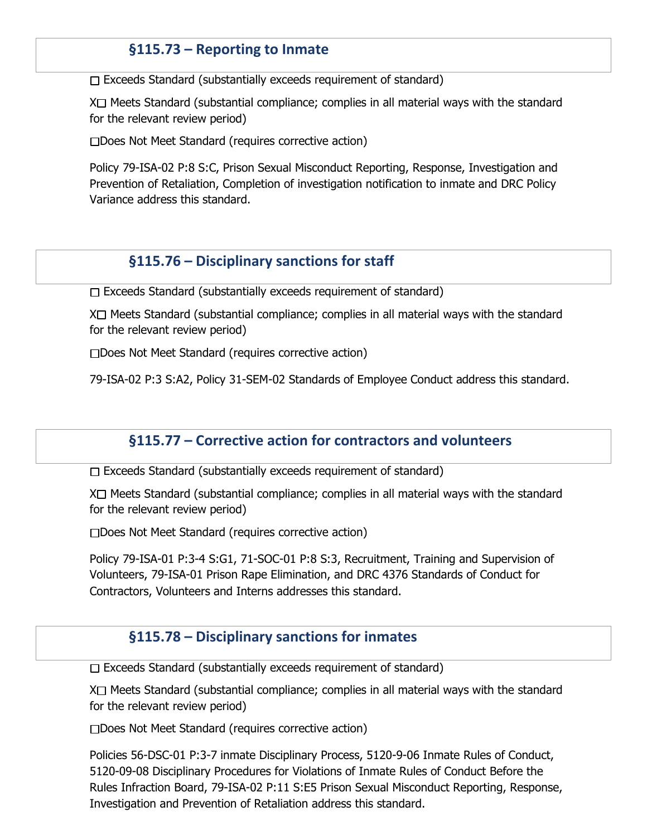## **§115.73 – Reporting to Inmate**

 $\square$  Exceeds Standard (substantially exceeds requirement of standard)

 $X \square$  Meets Standard (substantial compliance; complies in all material ways with the standard for the relevant review period)

□Does Not Meet Standard (requires corrective action)

Policy 79-ISA-02 P:8 S:C, Prison Sexual Misconduct Reporting, Response, Investigation and Prevention of Retaliation, Completion of investigation notification to inmate and DRC Policy Variance address this standard.

#### **§115.76 – Disciplinary sanctions for staff**

 $\Box$  Exceeds Standard (substantially exceeds requirement of standard)

 $X \square$  Meets Standard (substantial compliance; complies in all material ways with the standard for the relevant review period)

□Does Not Meet Standard (requires corrective action)

79-ISA-02 P:3 S:A2, Policy 31-SEM-02 Standards of Employee Conduct address this standard.

#### **§115.77 – Corrective action for contractors and volunteers**

 $\Box$  Exceeds Standard (substantially exceeds requirement of standard)

 $X \square$  Meets Standard (substantial compliance; complies in all material ways with the standard for the relevant review period)

Does Not Meet Standard (requires corrective action)

Policy 79-ISA-01 P:3-4 S:G1, 71-SOC-01 P:8 S:3, Recruitment, Training and Supervision of Volunteers, 79-ISA-01 Prison Rape Elimination, and DRC 4376 Standards of Conduct for Contractors, Volunteers and Interns addresses this standard.

## **§115.78 – Disciplinary sanctions for inmates**

 $\Box$  Exceeds Standard (substantially exceeds requirement of standard)

 $X \square$  Meets Standard (substantial compliance; complies in all material ways with the standard for the relevant review period)

Does Not Meet Standard (requires corrective action)

Policies 56-DSC-01 P:3-7 inmate Disciplinary Process, 5120-9-06 Inmate Rules of Conduct, 5120-09-08 Disciplinary Procedures for Violations of Inmate Rules of Conduct Before the Rules Infraction Board, 79-ISA-02 P:11 S:E5 Prison Sexual Misconduct Reporting, Response, Investigation and Prevention of Retaliation address this standard.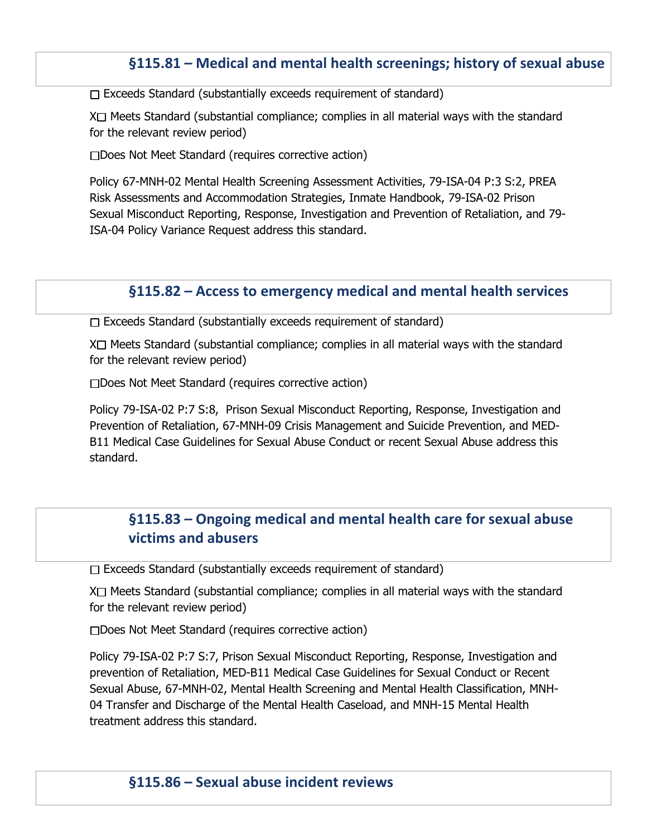## **§115.81 – Medical and mental health screenings; history of sexual abuse**

 $\Box$  Exceeds Standard (substantially exceeds requirement of standard)

 $X \square$  Meets Standard (substantial compliance; complies in all material ways with the standard for the relevant review period)

□Does Not Meet Standard (requires corrective action)

Policy 67-MNH-02 Mental Health Screening Assessment Activities, 79-ISA-04 P:3 S:2, PREA Risk Assessments and Accommodation Strategies, Inmate Handbook, 79-ISA-02 Prison Sexual Misconduct Reporting, Response, Investigation and Prevention of Retaliation, and 79- ISA-04 Policy Variance Request address this standard.

#### **§115.82 – Access to emergency medical and mental health services**

 $\Box$  Exceeds Standard (substantially exceeds requirement of standard)

 $X \square$  Meets Standard (substantial compliance; complies in all material ways with the standard for the relevant review period)

□Does Not Meet Standard (requires corrective action)

Policy 79-ISA-02 P:7 S:8, Prison Sexual Misconduct Reporting, Response, Investigation and Prevention of Retaliation, 67-MNH-09 Crisis Management and Suicide Prevention, and MED-B11 Medical Case Guidelines for Sexual Abuse Conduct or recent Sexual Abuse address this standard.

# **§115.83 – Ongoing medical and mental health care for sexual abuse victims and abusers**

 $\Box$  Exceeds Standard (substantially exceeds requirement of standard)

 $X \square$  Meets Standard (substantial compliance; complies in all material ways with the standard for the relevant review period)

Does Not Meet Standard (requires corrective action)

Policy 79-ISA-02 P:7 S:7, Prison Sexual Misconduct Reporting, Response, Investigation and prevention of Retaliation, MED-B11 Medical Case Guidelines for Sexual Conduct or Recent Sexual Abuse, 67-MNH-02, Mental Health Screening and Mental Health Classification, MNH-04 Transfer and Discharge of the Mental Health Caseload, and MNH-15 Mental Health treatment address this standard.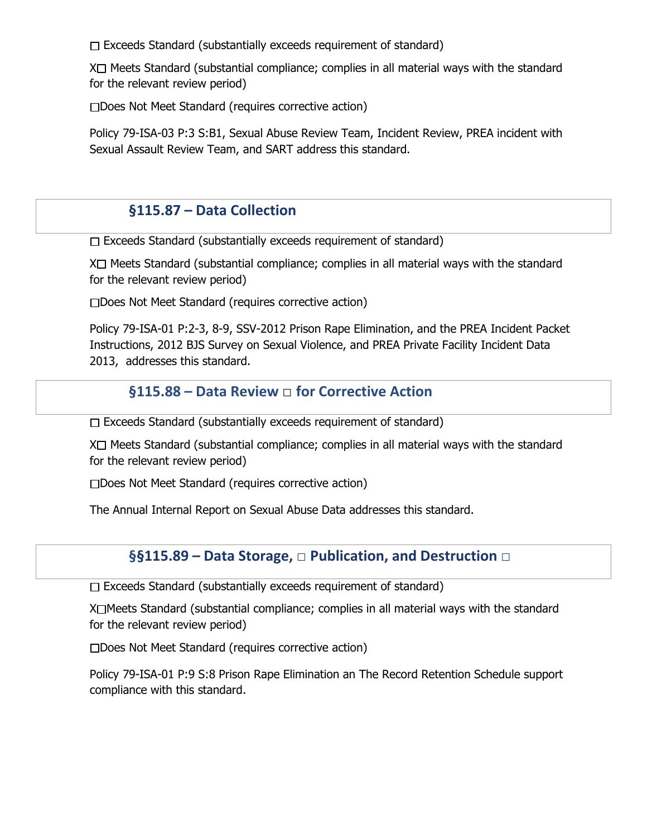$\Box$  Exceeds Standard (substantially exceeds requirement of standard)

 $X \square$  Meets Standard (substantial compliance; complies in all material ways with the standard for the relevant review period)

Does Not Meet Standard (requires corrective action)

Policy 79-ISA-03 P:3 S:B1, Sexual Abuse Review Team, Incident Review, PREA incident with Sexual Assault Review Team, and SART address this standard.

## **§115.87 – Data Collection**

 $\Box$  Exceeds Standard (substantially exceeds requirement of standard)

 $X \square$  Meets Standard (substantial compliance; complies in all material ways with the standard for the relevant review period)

Does Not Meet Standard (requires corrective action)

Policy 79-ISA-01 P:2-3, 8-9, SSV-2012 Prison Rape Elimination, and the PREA Incident Packet Instructions, 2012 BJS Survey on Sexual Violence, and PREA Private Facility Incident Data 2013, addresses this standard.

#### **§115.88 – Data Review** □ **for Corrective Action**

 $\Box$  Exceeds Standard (substantially exceeds requirement of standard)

 $X \square$  Meets Standard (substantial compliance; complies in all material ways with the standard for the relevant review period)

Does Not Meet Standard (requires corrective action)

The Annual Internal Report on Sexual Abuse Data addresses this standard.

#### **§§115.89 – Data Storage,** □ **Publication, and Destruction** □

 $\Box$  Exceeds Standard (substantially exceeds requirement of standard)

 $X \square$  Meets Standard (substantial compliance; complies in all material ways with the standard for the relevant review period)

Does Not Meet Standard (requires corrective action)

Policy 79-ISA-01 P:9 S:8 Prison Rape Elimination an The Record Retention Schedule support compliance with this standard.